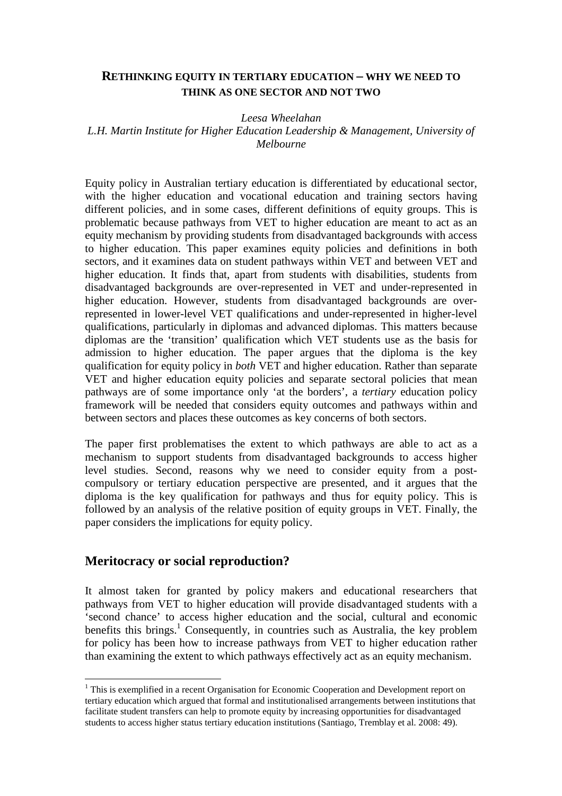### **RETHINKING EQUITY IN TERTIARY EDUCATION – WHY WE NEED TO THINK AS ONE SECTOR AND NOT TWO**

*Leesa Wheelahan* 

*L.H. Martin Institute for Higher Education Leadership & Management, University of Melbourne* 

Equity policy in Australian tertiary education is differentiated by educational sector, with the higher education and vocational education and training sectors having different policies, and in some cases, different definitions of equity groups. This is problematic because pathways from VET to higher education are meant to act as an equity mechanism by providing students from disadvantaged backgrounds with access to higher education. This paper examines equity policies and definitions in both sectors, and it examines data on student pathways within VET and between VET and higher education. It finds that, apart from students with disabilities, students from disadvantaged backgrounds are over-represented in VET and under-represented in higher education. However, students from disadvantaged backgrounds are overrepresented in lower-level VET qualifications and under-represented in higher-level qualifications, particularly in diplomas and advanced diplomas. This matters because diplomas are the 'transition' qualification which VET students use as the basis for admission to higher education. The paper argues that the diploma is the key qualification for equity policy in *both* VET and higher education. Rather than separate VET and higher education equity policies and separate sectoral policies that mean pathways are of some importance only 'at the borders', a *tertiary* education policy framework will be needed that considers equity outcomes and pathways within and between sectors and places these outcomes as key concerns of both sectors.

The paper first problematises the extent to which pathways are able to act as a mechanism to support students from disadvantaged backgrounds to access higher level studies. Second, reasons why we need to consider equity from a postcompulsory or tertiary education perspective are presented, and it argues that the diploma is the key qualification for pathways and thus for equity policy. This is followed by an analysis of the relative position of equity groups in VET. Finally, the paper considers the implications for equity policy.

### **Meritocracy or social reproduction?**

 $\overline{a}$ 

It almost taken for granted by policy makers and educational researchers that pathways from VET to higher education will provide disadvantaged students with a 'second chance' to access higher education and the social, cultural and economic benefits this brings.<sup>1</sup> Consequently, in countries such as Australia, the key problem for policy has been how to increase pathways from VET to higher education rather than examining the extent to which pathways effectively act as an equity mechanism.

<sup>&</sup>lt;sup>1</sup> This is exemplified in a recent Organisation for Economic Cooperation and Development report on tertiary education which argued that formal and institutionalised arrangements between institutions that facilitate student transfers can help to promote equity by increasing opportunities for disadvantaged students to access higher status tertiary education institutions (Santiago, Tremblay et al. 2008: 49).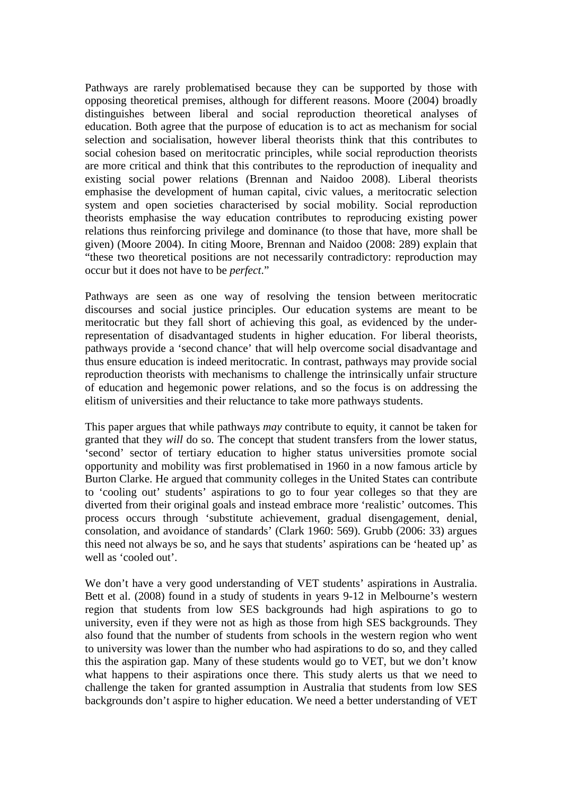Pathways are rarely problematised because they can be supported by those with opposing theoretical premises, although for different reasons. Moore (2004) broadly distinguishes between liberal and social reproduction theoretical analyses of education. Both agree that the purpose of education is to act as mechanism for social selection and socialisation, however liberal theorists think that this contributes to social cohesion based on meritocratic principles, while social reproduction theorists are more critical and think that this contributes to the reproduction of inequality and existing social power relations (Brennan and Naidoo 2008). Liberal theorists emphasise the development of human capital, civic values, a meritocratic selection system and open societies characterised by social mobility. Social reproduction theorists emphasise the way education contributes to reproducing existing power relations thus reinforcing privilege and dominance (to those that have, more shall be given) (Moore 2004). In citing Moore, Brennan and Naidoo (2008: 289) explain that "these two theoretical positions are not necessarily contradictory: reproduction may occur but it does not have to be *perfect*."

Pathways are seen as one way of resolving the tension between meritocratic discourses and social justice principles. Our education systems are meant to be meritocratic but they fall short of achieving this goal, as evidenced by the underrepresentation of disadvantaged students in higher education. For liberal theorists, pathways provide a 'second chance' that will help overcome social disadvantage and thus ensure education is indeed meritocratic. In contrast, pathways may provide social reproduction theorists with mechanisms to challenge the intrinsically unfair structure of education and hegemonic power relations, and so the focus is on addressing the elitism of universities and their reluctance to take more pathways students.

This paper argues that while pathways *may* contribute to equity, it cannot be taken for granted that they *will* do so. The concept that student transfers from the lower status, 'second' sector of tertiary education to higher status universities promote social opportunity and mobility was first problematised in 1960 in a now famous article by Burton Clarke. He argued that community colleges in the United States can contribute to 'cooling out' students' aspirations to go to four year colleges so that they are diverted from their original goals and instead embrace more 'realistic' outcomes. This process occurs through 'substitute achievement, gradual disengagement, denial, consolation, and avoidance of standards' (Clark 1960: 569). Grubb (2006: 33) argues this need not always be so, and he says that students' aspirations can be 'heated up' as well as 'cooled out'.

We don't have a very good understanding of VET students' aspirations in Australia. Bett et al. (2008) found in a study of students in years 9-12 in Melbourne's western region that students from low SES backgrounds had high aspirations to go to university, even if they were not as high as those from high SES backgrounds. They also found that the number of students from schools in the western region who went to university was lower than the number who had aspirations to do so, and they called this the aspiration gap. Many of these students would go to VET, but we don't know what happens to their aspirations once there. This study alerts us that we need to challenge the taken for granted assumption in Australia that students from low SES backgrounds don't aspire to higher education. We need a better understanding of VET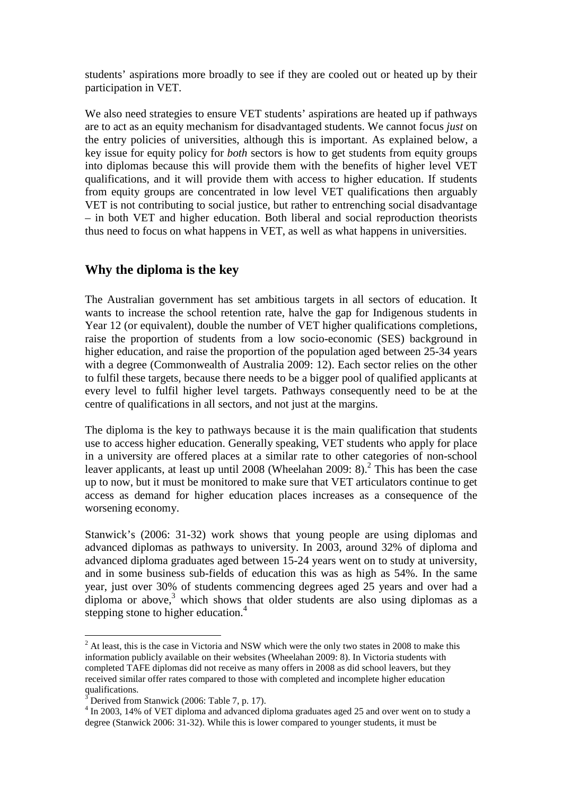students' aspirations more broadly to see if they are cooled out or heated up by their participation in VET.

We also need strategies to ensure VET students' aspirations are heated up if pathways are to act as an equity mechanism for disadvantaged students. We cannot focus *just* on the entry policies of universities, although this is important. As explained below, a key issue for equity policy for *both* sectors is how to get students from equity groups into diplomas because this will provide them with the benefits of higher level VET qualifications, and it will provide them with access to higher education. If students from equity groups are concentrated in low level VET qualifications then arguably VET is not contributing to social justice, but rather to entrenching social disadvantage – in both VET and higher education. Both liberal and social reproduction theorists thus need to focus on what happens in VET, as well as what happens in universities.

# **Why the diploma is the key**

The Australian government has set ambitious targets in all sectors of education. It wants to increase the school retention rate, halve the gap for Indigenous students in Year 12 (or equivalent), double the number of VET higher qualifications completions, raise the proportion of students from a low socio-economic (SES) background in higher education, and raise the proportion of the population aged between 25-34 years with a degree (Commonwealth of Australia 2009: 12). Each sector relies on the other to fulfil these targets, because there needs to be a bigger pool of qualified applicants at every level to fulfil higher level targets. Pathways consequently need to be at the centre of qualifications in all sectors, and not just at the margins.

The diploma is the key to pathways because it is the main qualification that students use to access higher education. Generally speaking, VET students who apply for place in a university are offered places at a similar rate to other categories of non-school leaver applicants, at least up until 2008 (Wheelahan 2009:  $8$ ).<sup>2</sup> This has been the case up to now, but it must be monitored to make sure that VET articulators continue to get access as demand for higher education places increases as a consequence of the worsening economy.

Stanwick's (2006: 31-32) work shows that young people are using diplomas and advanced diplomas as pathways to university. In 2003, around 32% of diploma and advanced diploma graduates aged between 15-24 years went on to study at university, and in some business sub-fields of education this was as high as 54%. In the same year, just over 30% of students commencing degrees aged 25 years and over had a diploma or above, $3$  which shows that older students are also using diplomas as a stepping stone to higher education.<sup>4</sup>

 $\overline{a}$ 

 $2<sup>2</sup>$  At least, this is the case in Victoria and NSW which were the only two states in 2008 to make this information publicly available on their websites (Wheelahan 2009: 8). In Victoria students with completed TAFE diplomas did not receive as many offers in 2008 as did school leavers, but they received similar offer rates compared to those with completed and incomplete higher education qualifications.<br><sup>3</sup> Derived from

Derived from Stanwick (2006: Table 7, p. 17).

<sup>&</sup>lt;sup>4</sup> In 2003, 14% of VET diploma and advanced diploma graduates aged 25 and over went on to study a degree (Stanwick 2006: 31-32). While this is lower compared to younger students, it must be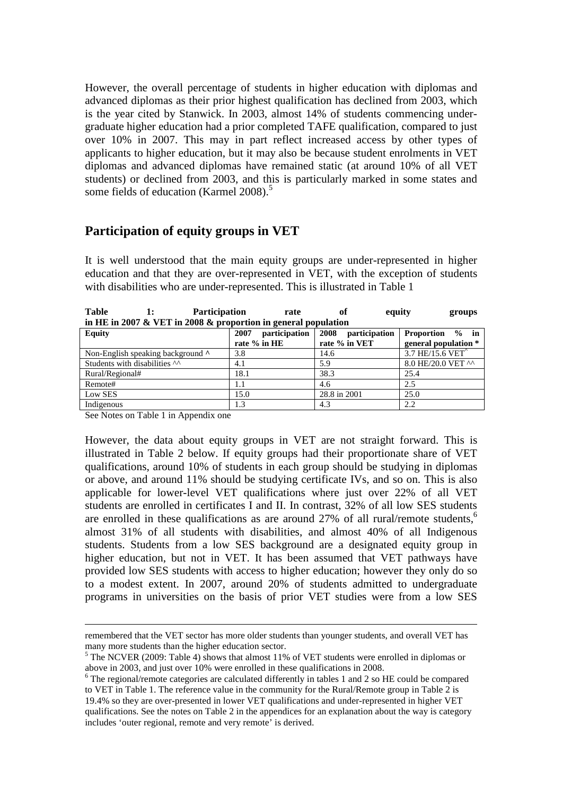However, the overall percentage of students in higher education with diplomas and advanced diplomas as their prior highest qualification has declined from 2003, which is the year cited by Stanwick. In 2003, almost 14% of students commencing undergraduate higher education had a prior completed TAFE qualification, compared to just over 10% in 2007. This may in part reflect increased access by other types of applicants to higher education, but it may also be because student enrolments in VET diplomas and advanced diplomas have remained static (at around 10% of all VET students) or declined from 2003, and this is particularly marked in some states and some fields of education (Karmel 2008).<sup>5</sup>

## **Participation of equity groups in VET**

It is well understood that the main equity groups are under-represented in higher education and that they are over-represented in VET, with the exception of students with disabilities who are under-represented. This is illustrated in Table 1

**Table 1: Participation rate of equity groups in HE in 2007 & VET in 2008 & proportion in general population** 

| m mm in 2007 we will m 2000 w proportion in general population |                       |                       |                      |  |  |  |  |  |  |
|----------------------------------------------------------------|-----------------------|-----------------------|----------------------|--|--|--|--|--|--|
| Equity                                                         | participation<br>2007 | 2008<br>participation | Proportion % in      |  |  |  |  |  |  |
|                                                                | rate % in HE          | rate % in VET         | general population * |  |  |  |  |  |  |
| Non-English speaking background $\wedge$                       | 3.8                   | 14.6                  | 3.7 HE/15.6 VET      |  |  |  |  |  |  |
| Students with disabilities ^^                                  | 4.1                   | 5.9                   | 8.0 HE/20.0 VET ^^   |  |  |  |  |  |  |
| Rural/Regional#                                                | 18.1                  | 38.3                  | 25.4                 |  |  |  |  |  |  |
| Remote#                                                        | 1.1                   | 4.6                   | 2.5                  |  |  |  |  |  |  |
| Low SES                                                        | 15.0                  | 28.8 in 2001          | 25.0                 |  |  |  |  |  |  |
| Indigenous                                                     | 1.3                   | 4.3                   | 2.2                  |  |  |  |  |  |  |

See Notes on Table 1 in Appendix one

 $\overline{a}$ 

However, the data about equity groups in VET are not straight forward. This is illustrated in Table 2 below. If equity groups had their proportionate share of VET qualifications, around 10% of students in each group should be studying in diplomas or above, and around 11% should be studying certificate IVs, and so on. This is also applicable for lower-level VET qualifications where just over 22% of all VET students are enrolled in certificates I and II. In contrast, 32% of all low SES students are enrolled in these qualifications as are around  $27\%$  of all rural/remote students,<sup>6</sup> almost 31% of all students with disabilities, and almost 40% of all Indigenous students. Students from a low SES background are a designated equity group in higher education, but not in VET. It has been assumed that VET pathways have provided low SES students with access to higher education; however they only do so to a modest extent. In 2007, around 20% of students admitted to undergraduate programs in universities on the basis of prior VET studies were from a low SES

remembered that the VET sector has more older students than younger students, and overall VET has many more students than the higher education sector.

<sup>&</sup>lt;sup>5</sup> The NCVER (2009: Table 4) shows that almost 11% of VET students were enrolled in diplomas or above in 2003, and just over 10% were enrolled in these qualifications in 2008.

 $6$  The regional/remote categories are calculated differently in tables 1 and 2 so HE could be compared to VET in Table 1. The reference value in the community for the Rural/Remote group in Table 2 is 19.4% so they are over-presented in lower VET qualifications and under-represented in higher VET qualifications. See the notes on Table 2 in the appendices for an explanation about the way is category includes 'outer regional, remote and very remote' is derived.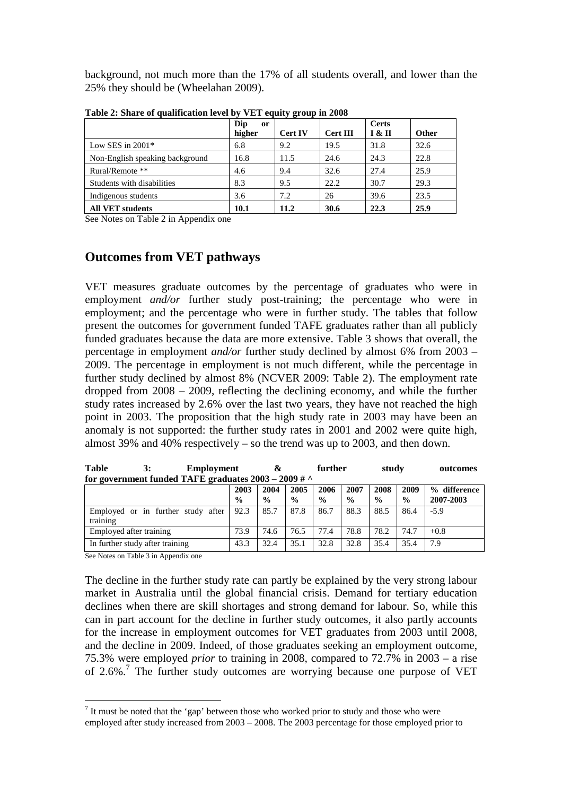background, not much more than the 17% of all students overall, and lower than the 25% they should be (Wheelahan 2009).

|                                 | Dip<br><sub>or</sub><br>higher | <b>Cert IV</b> | <b>Cert III</b> | Certs<br>I & II | <b>Other</b> |
|---------------------------------|--------------------------------|----------------|-----------------|-----------------|--------------|
| Low SES in $2001*$              | 6.8                            | 9.2            | 19.5            | 31.8            | 32.6         |
| Non-English speaking background | 16.8                           | 11.5           | 24.6            | 24.3            | 22.8         |
| Rural/Remote **                 | 4.6                            | 9.4            | 32.6            | 27.4            | 25.9         |
| Students with disabilities      | 8.3                            | 9.5            | 22.2            | 30.7            | 29.3         |
| Indigenous students             | 3.6                            | 7.2            | 26              | 39.6            | 23.5         |
| <b>All VET students</b>         | 10.1                           | 11.2           | 30.6            | 22.3            | 25.9         |

**Table 2: Share of qualification level by VET equity group in 2008** 

See Notes on Table 2 in Appendix one

## **Outcomes from VET pathways**

VET measures graduate outcomes by the percentage of graduates who were in employment *and/or* further study post-training; the percentage who were in employment; and the percentage who were in further study. The tables that follow present the outcomes for government funded TAFE graduates rather than all publicly funded graduates because the data are more extensive. Table 3 shows that overall, the percentage in employment *and/or* further study declined by almost 6% from 2003 – 2009. The percentage in employment is not much different, while the percentage in further study declined by almost 8% (NCVER 2009: Table 2). The employment rate dropped from 2008 – 2009, reflecting the declining economy, and while the further study rates increased by 2.6% over the last two years, they have not reached the high point in 2003. The proposition that the high study rate in 2003 may have been an anomaly is not supported: the further study rates in 2001 and 2002 were quite high, almost 39% and 40% respectively – so the trend was up to 2003, and then down.

| <b>Table</b>                                            | 3:<br>Employment                   |                       | &                     |                       | further               |                       | study                 |                       | outcomes                  |  |
|---------------------------------------------------------|------------------------------------|-----------------------|-----------------------|-----------------------|-----------------------|-----------------------|-----------------------|-----------------------|---------------------------|--|
| for government funded TAFE graduates $2003 - 2009 \#$ ^ |                                    |                       |                       |                       |                       |                       |                       |                       |                           |  |
|                                                         |                                    | 2003<br>$\frac{0}{0}$ | 2004<br>$\frac{0}{0}$ | 2005<br>$\frac{6}{9}$ | 2006<br>$\frac{6}{9}$ | 2007<br>$\frac{6}{6}$ | 2008<br>$\frac{0}{0}$ | 2009<br>$\frac{6}{9}$ | % difference<br>2007-2003 |  |
| training                                                | Employed or in further study after | 92.3                  | 85.7                  | 87.8                  | 86.7                  | 88.3                  | 88.5                  | 86.4                  | $-5.9$                    |  |
| Employed after training                                 |                                    | 73.9                  | 74.6                  | 76.5                  | 77.4                  | 78.8                  | 78.2                  | 74.7                  | $+0.8$                    |  |
| In further study after training                         |                                    | 43.3                  | 32.4                  | 35.1                  | 32.8                  | 32.8                  | 35.4                  | 35.4                  | 7.9                       |  |

See Notes on Table 3 in Appendix one

 $\overline{a}$ 

The decline in the further study rate can partly be explained by the very strong labour market in Australia until the global financial crisis. Demand for tertiary education declines when there are skill shortages and strong demand for labour. So, while this can in part account for the decline in further study outcomes, it also partly accounts for the increase in employment outcomes for VET graduates from 2003 until 2008, and the decline in 2009. Indeed, of those graduates seeking an employment outcome, 75.3% were employed *prior* to training in 2008, compared to 72.7% in 2003 – a rise of 2.6%.<sup>7</sup> The further study outcomes are worrying because one purpose of VET

 $<sup>7</sup>$  It must be noted that the 'gap' between those who worked prior to study and those who were</sup> employed after study increased from 2003 – 2008. The 2003 percentage for those employed prior to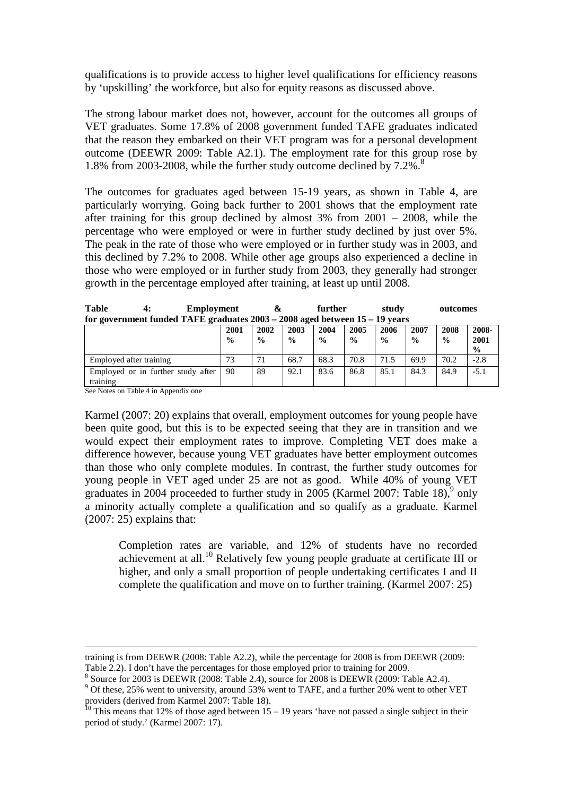qualifications is to provide access to higher level qualifications for efficiency reasons by 'upskilling' the workforce, but also for equity reasons as discussed above.

The strong labour market does not, however, account for the outcomes all groups of VET graduates. Some 17.8% of 2008 government funded TAFE graduates indicated that the reason they embarked on their VET program was for a personal development outcome (DEEWR 2009: Table A2.1). The employment rate for this group rose by 1.8% from 2003-2008, while the further study outcome declined by  $7.2\%$ .

The outcomes for graduates aged between 15-19 years, as shown in Table 4, are particularly worrying. Going back further to 2001 shows that the employment rate after training for this group declined by almost 3% from 2001 – 2008, while the percentage who were employed or were in further study declined by just over 5%. The peak in the rate of those who were employed or in further study was in 2003, and this declined by 7.2% to 2008. While other age groups also experienced a decline in those who were employed or in further study from 2003, they generally had stronger growth in the percentage employed after training, at least up until 2008.

| <b>Table</b> | <b>Employment</b>                                                               | further | study | outcomes |
|--------------|---------------------------------------------------------------------------------|---------|-------|----------|
|              | for government funded TAFE graduates $2003 - 2008$ aged between $15 - 19$ years |         |       |          |

|                                                | 2001<br>$\frac{0}{0}$ | 2002<br>$\frac{0}{0}$ | 2003<br>$\frac{0}{0}$ | 2004<br>$\frac{0}{0}$ | 2005<br>$\frac{0}{0}$ | 2006<br>$\frac{0}{0}$ | 2007<br>$\frac{0}{0}$ | 2008<br>$\frac{0}{0}$ | 2008-<br>2001<br>$\frac{0}{0}$ |
|------------------------------------------------|-----------------------|-----------------------|-----------------------|-----------------------|-----------------------|-----------------------|-----------------------|-----------------------|--------------------------------|
| Employed after training                        | 73                    | 71                    | 68.7                  | 68.3                  | 70.8                  | 71.5                  | 69.9                  | 70.2                  | $-2.8$                         |
| Employed or in further study after<br>training | 90                    | 89                    | 92.1                  | 83.6                  | 86.8                  | 85.1                  | 84.3                  | 84.9                  | -5.1                           |

See Notes on Table 4 in Appendix one

 $\overline{a}$ 

Karmel (2007: 20) explains that overall, employment outcomes for young people have been quite good, but this is to be expected seeing that they are in transition and we would expect their employment rates to improve. Completing VET does make a difference however, because young VET graduates have better employment outcomes than those who only complete modules. In contrast, the further study outcomes for young people in VET aged under 25 are not as good. While 40% of young VET graduates in 2004 proceeded to further study in 2005 (Karmel 2007: Table 18),  $9 \text{ only}$ a minority actually complete a qualification and so qualify as a graduate. Karmel (2007: 25) explains that:

Completion rates are variable, and 12% of students have no recorded achievement at all.<sup>10</sup> Relatively few young people graduate at certificate III or higher, and only a small proportion of people undertaking certificates I and II complete the qualification and move on to further training. (Karmel 2007: 25)

training is from DEEWR (2008: Table A2.2), while the percentage for 2008 is from DEEWR (2009: Table 2.2). I don't have the percentages for those employed prior to training for 2009.

 $8$  Source for 2003 is DEEWR (2008: Table 2.4), source for 2008 is DEEWR (2009: Table A2.4).

<sup>&</sup>lt;sup>9</sup> Of these, 25% went to university, around 53% went to TAFE, and a further 20% went to other VET providers (derived from Karmel 2007: Table 18).

<sup>&</sup>lt;sup>10</sup> This means that 12% of those aged between  $15 - 19$  years 'have not passed a single subject in their period of study.' (Karmel 2007: 17).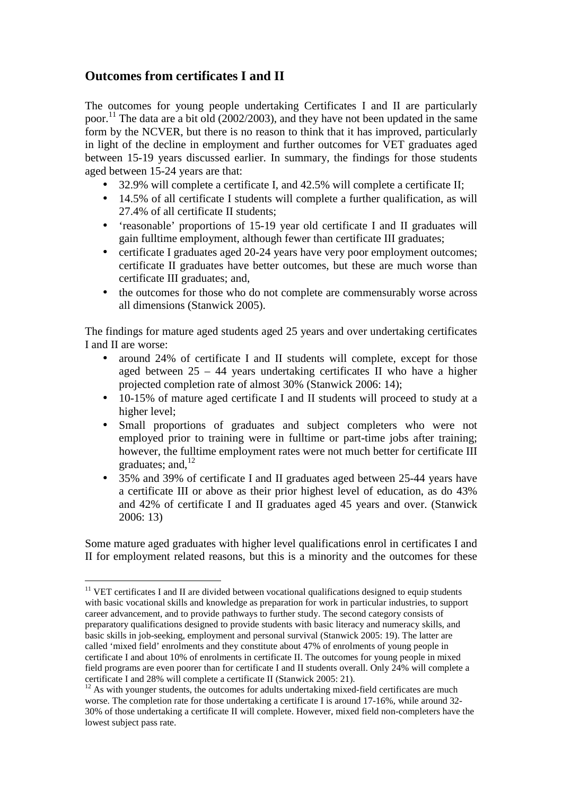# **Outcomes from certificates I and II**

 $\overline{a}$ 

The outcomes for young people undertaking Certificates I and II are particularly poor.<sup>11</sup> The data are a bit old (2002/2003), and they have not been updated in the same form by the NCVER, but there is no reason to think that it has improved, particularly in light of the decline in employment and further outcomes for VET graduates aged between 15-19 years discussed earlier. In summary, the findings for those students aged between 15-24 years are that:

- 32.9% will complete a certificate I, and 42.5% will complete a certificate II;
- 14.5% of all certificate I students will complete a further qualification, as will 27.4% of all certificate II students;
- 'reasonable' proportions of 15-19 year old certificate I and II graduates will gain fulltime employment, although fewer than certificate III graduates;
- certificate I graduates aged 20-24 years have very poor employment outcomes; certificate II graduates have better outcomes, but these are much worse than certificate III graduates; and,
- the outcomes for those who do not complete are commensurably worse across all dimensions (Stanwick 2005).

The findings for mature aged students aged 25 years and over undertaking certificates I and II are worse:

- around 24% of certificate I and II students will complete, except for those aged between 25 – 44 years undertaking certificates II who have a higher projected completion rate of almost 30% (Stanwick 2006: 14);
- 10-15% of mature aged certificate I and II students will proceed to study at a higher level;
- Small proportions of graduates and subject completers who were not employed prior to training were in fulltime or part-time jobs after training; however, the fulltime employment rates were not much better for certificate III graduates; and,  $^{12}$
- 35% and 39% of certificate I and II graduates aged between 25-44 years have a certificate III or above as their prior highest level of education, as do 43% and 42% of certificate I and II graduates aged 45 years and over. (Stanwick 2006: 13)

Some mature aged graduates with higher level qualifications enrol in certificates I and II for employment related reasons, but this is a minority and the outcomes for these

 $11$  VET certificates I and II are divided between vocational qualifications designed to equip students with basic vocational skills and knowledge as preparation for work in particular industries, to support career advancement, and to provide pathways to further study. The second category consists of preparatory qualifications designed to provide students with basic literacy and numeracy skills, and basic skills in job-seeking, employment and personal survival (Stanwick 2005: 19). The latter are called 'mixed field' enrolments and they constitute about 47% of enrolments of young people in certificate I and about 10% of enrolments in certificate II. The outcomes for young people in mixed field programs are even poorer than for certificate I and II students overall. Only 24% will complete a certificate I and 28% will complete a certificate II (Stanwick 2005: 21).

<sup>&</sup>lt;sup>12</sup> As with younger students, the outcomes for adults undertaking mixed-field certificates are much worse. The completion rate for those undertaking a certificate I is around 17-16%, while around 32- 30% of those undertaking a certificate II will complete. However, mixed field non-completers have the lowest subject pass rate.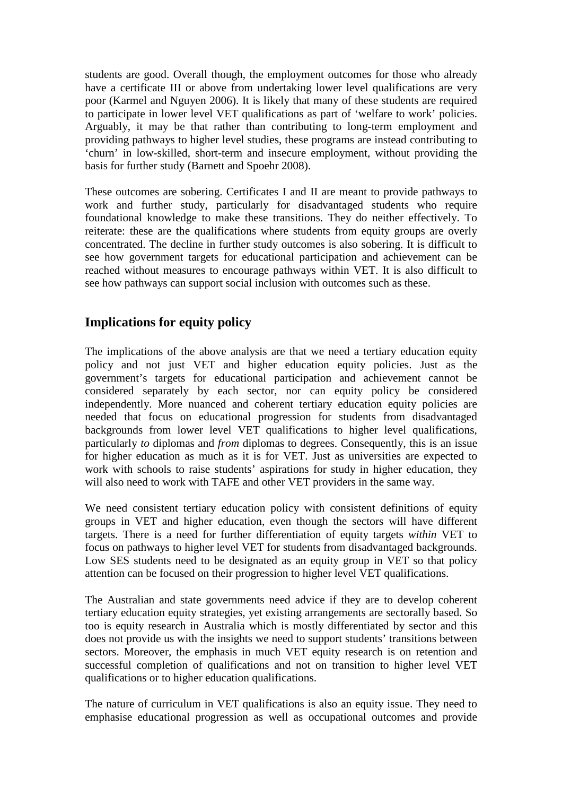students are good. Overall though, the employment outcomes for those who already have a certificate III or above from undertaking lower level qualifications are very poor (Karmel and Nguyen 2006). It is likely that many of these students are required to participate in lower level VET qualifications as part of 'welfare to work' policies. Arguably, it may be that rather than contributing to long-term employment and providing pathways to higher level studies, these programs are instead contributing to 'churn' in low-skilled, short-term and insecure employment, without providing the basis for further study (Barnett and Spoehr 2008).

These outcomes are sobering. Certificates I and II are meant to provide pathways to work and further study, particularly for disadvantaged students who require foundational knowledge to make these transitions. They do neither effectively. To reiterate: these are the qualifications where students from equity groups are overly concentrated. The decline in further study outcomes is also sobering. It is difficult to see how government targets for educational participation and achievement can be reached without measures to encourage pathways within VET. It is also difficult to see how pathways can support social inclusion with outcomes such as these.

# **Implications for equity policy**

The implications of the above analysis are that we need a tertiary education equity policy and not just VET and higher education equity policies. Just as the government's targets for educational participation and achievement cannot be considered separately by each sector, nor can equity policy be considered independently. More nuanced and coherent tertiary education equity policies are needed that focus on educational progression for students from disadvantaged backgrounds from lower level VET qualifications to higher level qualifications, particularly *to* diplomas and *from* diplomas to degrees. Consequently, this is an issue for higher education as much as it is for VET. Just as universities are expected to work with schools to raise students' aspirations for study in higher education, they will also need to work with TAFE and other VET providers in the same way.

We need consistent tertiary education policy with consistent definitions of equity groups in VET and higher education, even though the sectors will have different targets. There is a need for further differentiation of equity targets *within* VET to focus on pathways to higher level VET for students from disadvantaged backgrounds. Low SES students need to be designated as an equity group in VET so that policy attention can be focused on their progression to higher level VET qualifications.

The Australian and state governments need advice if they are to develop coherent tertiary education equity strategies, yet existing arrangements are sectorally based. So too is equity research in Australia which is mostly differentiated by sector and this does not provide us with the insights we need to support students' transitions between sectors. Moreover, the emphasis in much VET equity research is on retention and successful completion of qualifications and not on transition to higher level VET qualifications or to higher education qualifications.

The nature of curriculum in VET qualifications is also an equity issue. They need to emphasise educational progression as well as occupational outcomes and provide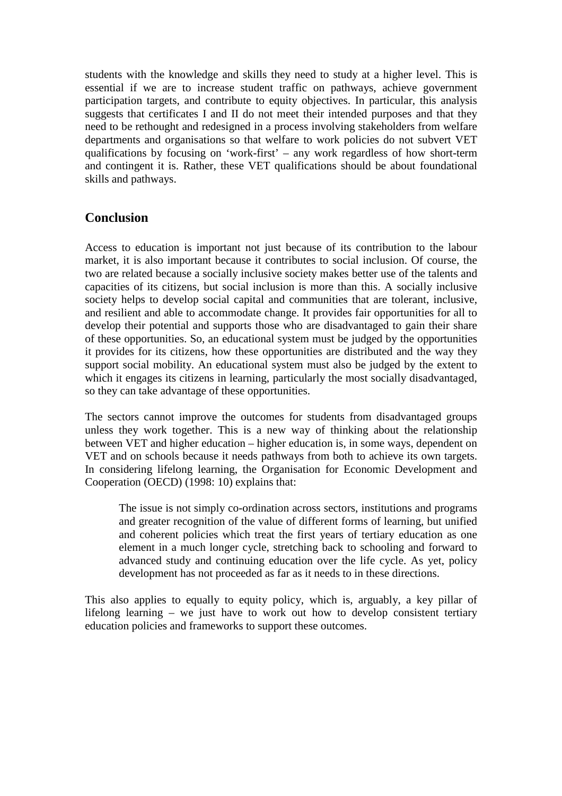students with the knowledge and skills they need to study at a higher level. This is essential if we are to increase student traffic on pathways, achieve government participation targets, and contribute to equity objectives. In particular, this analysis suggests that certificates I and II do not meet their intended purposes and that they need to be rethought and redesigned in a process involving stakeholders from welfare departments and organisations so that welfare to work policies do not subvert VET qualifications by focusing on 'work-first' – any work regardless of how short-term and contingent it is. Rather, these VET qualifications should be about foundational skills and pathways.

# **Conclusion**

Access to education is important not just because of its contribution to the labour market, it is also important because it contributes to social inclusion. Of course, the two are related because a socially inclusive society makes better use of the talents and capacities of its citizens, but social inclusion is more than this. A socially inclusive society helps to develop social capital and communities that are tolerant, inclusive, and resilient and able to accommodate change. It provides fair opportunities for all to develop their potential and supports those who are disadvantaged to gain their share of these opportunities. So, an educational system must be judged by the opportunities it provides for its citizens, how these opportunities are distributed and the way they support social mobility. An educational system must also be judged by the extent to which it engages its citizens in learning, particularly the most socially disadvantaged, so they can take advantage of these opportunities.

The sectors cannot improve the outcomes for students from disadvantaged groups unless they work together. This is a new way of thinking about the relationship between VET and higher education – higher education is, in some ways, dependent on VET and on schools because it needs pathways from both to achieve its own targets. In considering lifelong learning, the Organisation for Economic Development and Cooperation (OECD) (1998: 10) explains that:

The issue is not simply co-ordination across sectors, institutions and programs and greater recognition of the value of different forms of learning, but unified and coherent policies which treat the first years of tertiary education as one element in a much longer cycle, stretching back to schooling and forward to advanced study and continuing education over the life cycle. As yet, policy development has not proceeded as far as it needs to in these directions.

This also applies to equally to equity policy, which is, arguably, a key pillar of lifelong learning – we just have to work out how to develop consistent tertiary education policies and frameworks to support these outcomes.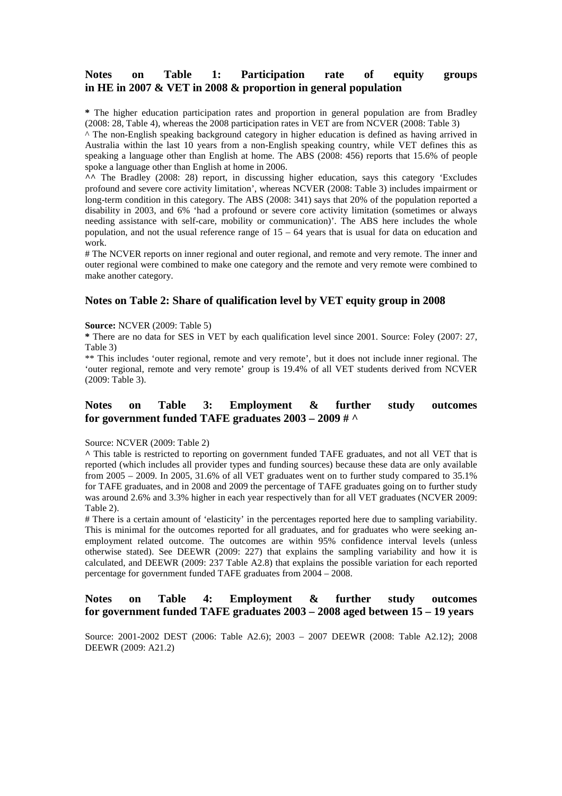### **Notes on Table 1: Participation rate of equity groups in HE in 2007 & VET in 2008 & proportion in general population**

**\*** The higher education participation rates and proportion in general population are from Bradley (2008: 28, Table 4), whereas the 2008 participation rates in VET are from NCVER (2008: Table 3)

^ The non-English speaking background category in higher education is defined as having arrived in Australia within the last 10 years from a non-English speaking country, while VET defines this as speaking a language other than English at home. The ABS (2008: 456) reports that 15.6% of people spoke a language other than English at home in 2006.

**^^** The Bradley (2008: 28) report, in discussing higher education, says this category 'Excludes profound and severe core activity limitation', whereas NCVER (2008: Table 3) includes impairment or long-term condition in this category. The ABS (2008: 341) says that 20% of the population reported a disability in 2003, and 6% 'had a profound or severe core activity limitation (sometimes or always needing assistance with self-care, mobility or communication)'. The ABS here includes the whole population, and not the usual reference range of 15 – 64 years that is usual for data on education and work.

# The NCVER reports on inner regional and outer regional, and remote and very remote. The inner and outer regional were combined to make one category and the remote and very remote were combined to make another category.

#### **Notes on Table 2: Share of qualification level by VET equity group in 2008**

#### **Source:** NCVER (2009: Table 5)

**\*** There are no data for SES in VET by each qualification level since 2001. Source: Foley (2007: 27, Table 3)

\*\* This includes 'outer regional, remote and very remote', but it does not include inner regional. The 'outer regional, remote and very remote' group is 19.4% of all VET students derived from NCVER (2009: Table 3).

#### **Notes on Table 3: Employment & further study outcomes for government funded TAFE graduates 2003 – 2009 # ^**

#### Source: NCVER (2009: Table 2)

**^** This table is restricted to reporting on government funded TAFE graduates, and not all VET that is reported (which includes all provider types and funding sources) because these data are only available from 2005 – 2009. In 2005, 31.6% of all VET graduates went on to further study compared to 35.1% for TAFE graduates, and in 2008 and 2009 the percentage of TAFE graduates going on to further study was around 2.6% and 3.3% higher in each year respectively than for all VET graduates (NCVER 2009: Table 2).

# There is a certain amount of 'elasticity' in the percentages reported here due to sampling variability. This is minimal for the outcomes reported for all graduates, and for graduates who were seeking anemployment related outcome. The outcomes are within 95% confidence interval levels (unless otherwise stated). See DEEWR (2009: 227) that explains the sampling variability and how it is calculated, and DEEWR (2009: 237 Table A2.8) that explains the possible variation for each reported percentage for government funded TAFE graduates from 2004 – 2008.

### **Notes on Table 4: Employment & further study outcomes for government funded TAFE graduates 2003 – 2008 aged between 15 – 19 years**

Source: 2001-2002 DEST (2006: Table A2.6); 2003 – 2007 DEEWR (2008: Table A2.12); 2008 DEEWR (2009: A21.2)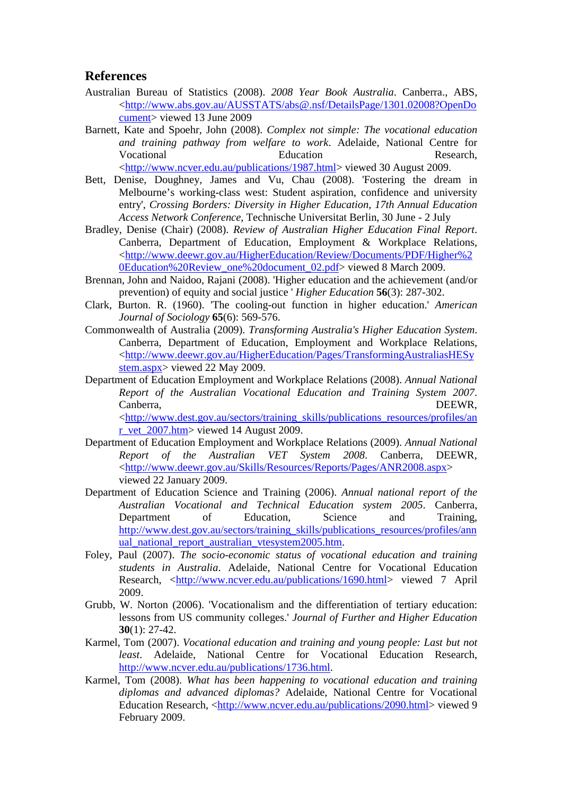### **References**

- Australian Bureau of Statistics (2008). *2008 Year Book Australia*. Canberra., ABS, <http://www.abs.gov.au/AUSSTATS/abs@.nsf/DetailsPage/1301.02008?OpenDo cument> viewed 13 June 2009
- Barnett, Kate and Spoehr, John (2008). *Complex not simple: The vocational education and training pathway from welfare to work*. Adelaide, National Centre for Vocational Education Research, <http://www.ncver.edu.au/publications/1987.html> viewed 30 August 2009.
- Bett, Denise, Doughney, James and Vu, Chau (2008). 'Fostering the dream in Melbourne's working-class west: Student aspiration, confidence and university entry', *Crossing Borders: Diversity in Higher Education, 17th Annual Education Access Network Conference*, Technische Universitat Berlin, 30 June - 2 July
- Bradley, Denise (Chair) (2008). *Review of Australian Higher Education Final Report*. Canberra, Department of Education, Employment & Workplace Relations, <http://www.deewr.gov.au/HigherEducation/Review/Documents/PDF/Higher%2 0Education%20Review\_one%20document\_02.pdf> viewed 8 March 2009.
- Brennan, John and Naidoo, Rajani (2008). 'Higher education and the achievement (and/or prevention) of equity and social justice ' *Higher Education* **56**(3): 287-302.
- Clark, Burton. R. (1960). 'The cooling-out function in higher education.' *American Journal of Sociology* **65**(6): 569-576.
- Commonwealth of Australia (2009). *Transforming Australia's Higher Education System*. Canberra, Department of Education, Employment and Workplace Relations, <http://www.deewr.gov.au/HigherEducation/Pages/TransformingAustraliasHESy stem.aspx> viewed 22 May 2009.
- Department of Education Employment and Workplace Relations (2008). *Annual National Report of the Australian Vocational Education and Training System 2007*. Canberra, DEEWR, <http://www.dest.gov.au/sectors/training\_skills/publications\_resources/profiles/an r\_vet\_2007.htm> viewed 14 August 2009.
- Department of Education Employment and Workplace Relations (2009). *Annual National Report of the Australian VET System 2008*. Canberra, DEEWR, <http://www.deewr.gov.au/Skills/Resources/Reports/Pages/ANR2008.aspx> viewed 22 January 2009.
- Department of Education Science and Training (2006). *Annual national report of the Australian Vocational and Technical Education system 2005*. Canberra, Department of Education, Science and Training, http://www.dest.gov.au/sectors/training\_skills/publications\_resources/profiles/ann ual\_national\_report\_australian\_vtesystem2005.htm.
- Foley, Paul (2007). *The socio-economic status of vocational education and training students in Australia*. Adelaide, National Centre for Vocational Education Research, <http://www.ncver.edu.au/publications/1690.html> viewed 7 April 2009.
- Grubb, W. Norton (2006). 'Vocationalism and the differentiation of tertiary education: lessons from US community colleges.' *Journal of Further and Higher Education* **30**(1): 27-42.
- Karmel, Tom (2007). *Vocational education and training and young people: Last but not least*. Adelaide, National Centre for Vocational Education Research, http://www.ncver.edu.au/publications/1736.html.
- Karmel, Tom (2008). *What has been happening to vocational education and training diplomas and advanced diplomas?* Adelaide, National Centre for Vocational Education Research, <http://www.ncver.edu.au/publications/2090.html> viewed 9 February 2009.